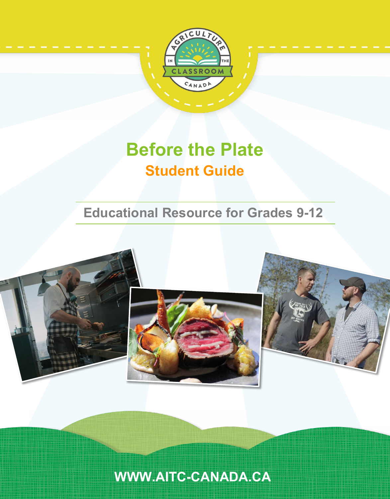

# **Before the Plate Student Guide**

# **Educational Resource for Grades 9-12**



**[WWW.AITC-CANADA.CA](http://www.aitc-canada.ca/)**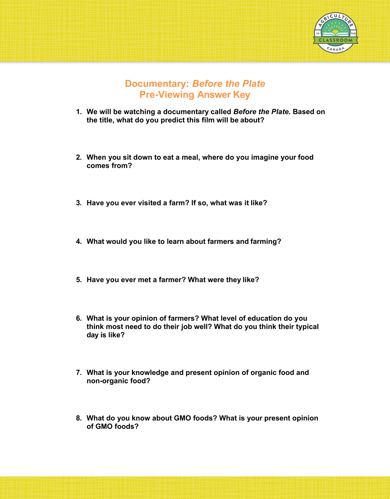

### **Documentary:** *Before the Plate* **Pre-Viewing Answer Key**

- **1. We will be watching a documentary called** *Before the Plate.* **Based on the title, what do you predict this film will be about?**
- **2. When you sit down to eat a meal, where do you imagine your food comes from?**
- **3. Have you ever visited a farm? If so, what was it like?**
- **4. What would you like to learn about farmers and farming?**
- **5. Have you ever met a farmer? What were they like?**
- **6. What is your opinion of farmers? What level of education do you think most need to do their job well? What do you think their typical day is like?**
- **7. What is your knowledge and present opinion of organic food and non-organic food?**
- **8. What do you know about GMO foods? What is your present opinion of GMO foods?**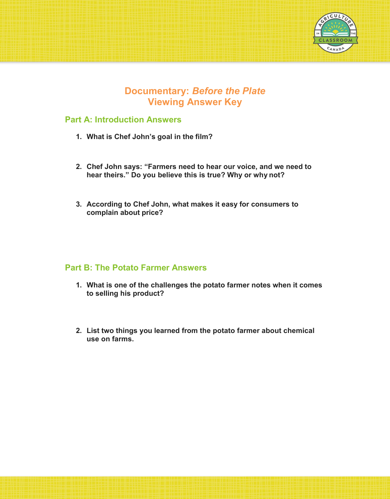

# **Documentary:** *Before the Plate* **Viewing Answer Key**

#### **Part A: Introduction Answers**

- **1. What is Chef John's goal in the film?**
- **2. Chef John says: "Farmers need to hear our voice, and we need to hear theirs." Do you believe this is true? Why or why not?**
- **3. According to Chef John, what makes it easy for consumers to complain about price?**

#### **Part B: The Potato Farmer Answers**

- **1. What is one of the challenges the potato farmer notes when it comes to selling his product?**
- **2. List two things you learned from the potato farmer about chemical use on farms.**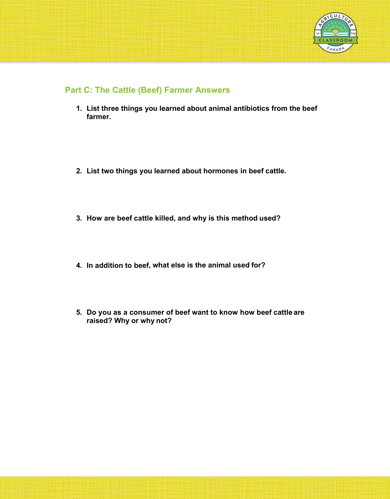

#### **Part C: The Cattle (Beef) Farmer Answers**

- **1. List three things you learned about animal antibiotics from the beef farmer.**
- **2. List two things you learned about hormones in beef cattle.**
- **3. How are beef cattle killed, and why is this method used?**
- **4. In addition to beef, what else is the animal used for?**
- **5. Do you as a consumer of beef want to know how beef cattle are raised? Why or why not?**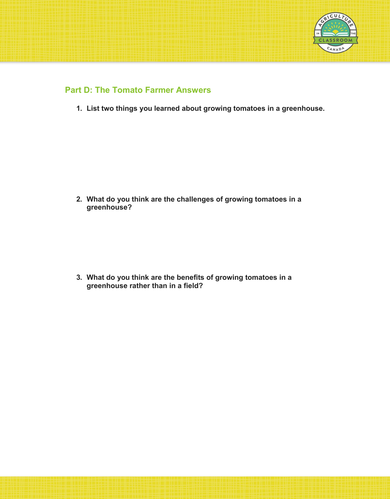

#### **Part D: The Tomato Farmer Answers**

**1. List two things you learned about growing tomatoes in a greenhouse.**

**2. What do you think are the challenges of growing tomatoes in a greenhouse?**

**3. What do you think are the benefits of growing tomatoes in a greenhouse rather than in a field?**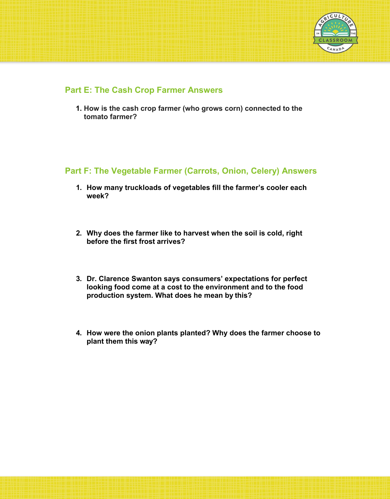

#### **Part E: The Cash Crop Farmer Answers**

**1. How is the cash crop farmer (who grows corn) connected to the tomato farmer?**

#### **Part F: The Vegetable Farmer (Carrots, Onion, Celery) Answers**

- **1. How many truckloads of vegetables fill the farmer's cooler each week?**
- **2. Why does the farmer like to harvest when the soil is cold, right before the first frost arrives?**
- **3. Dr. Clarence Swanton says consumers' expectations for perfect looking food come at a cost to the environment and to the food production system. What does he mean by this?**
- **4. How were the onion plants planted? Why does the farmer choose to plant them this way?**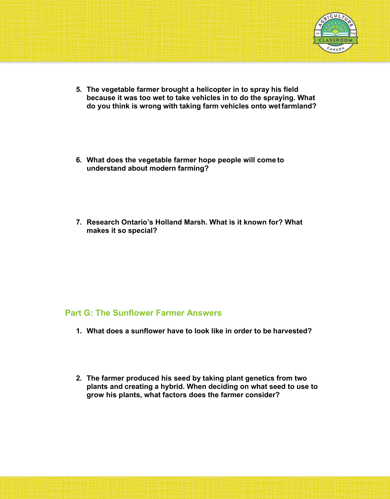

- **5. The vegetable farmer brought a helicopter in to spray his field because it was too wet to take vehicles in to do the spraying. What do you think is wrong with taking farm vehicles onto wetfarmland?**
- **6. What does the vegetable farmer hope people will come to understand about modern farming?**
- **7. Research Ontario's Holland Marsh. What is it known for? What makes it so special?**

#### **Part G: The Sunflower Farmer Answers**

- **1. What does a sunflower have to look like in order to be harvested?**
- **2. The farmer produced his seed by taking plant genetics from two plants and creating a hybrid. When deciding on what seed to use to grow his plants, what factors does the farmer consider?**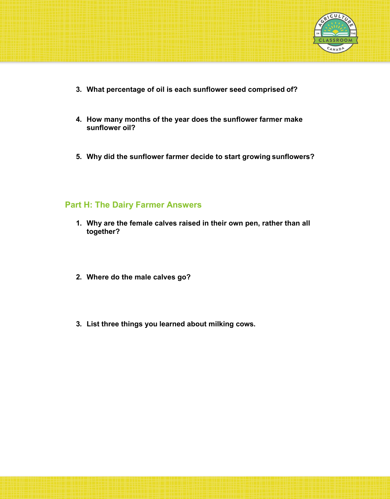

- **3. What percentage of oil is each sunflower seed comprised of?**
- **4. How many months of the year does the sunflower farmer make sunflower oil?**
- **5. Why did the sunflower farmer decide to start growing sunflowers?**

#### **Part H: The Dairy Farmer Answers**

- **1. Why are the female calves raised in their own pen, rather than all together?**
- **2. Where do the male calves go?**
- **3. List three things you learned about milking cows.**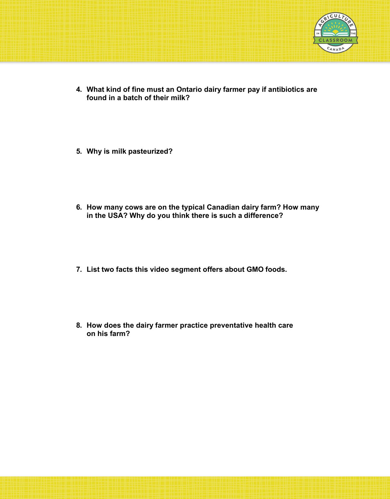

- **4. What kind of fine must an Ontario dairy farmer pay if antibiotics are found in a batch of their milk?**
- **5. Why is milk pasteurized?**
- **6. How many cows are on the typical Canadian dairy farm? How many in the USA? Why do you think there is such a difference?**
- **7. List two facts this video segment offers about GMO foods.**
- **8. How does the dairy farmer practice preventative health care on his farm?**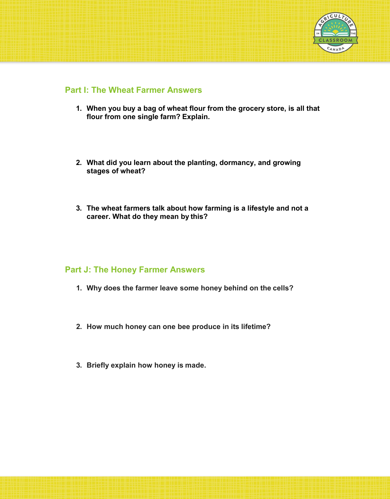

#### **Part I: The Wheat Farmer Answers**

- **1. When you buy a bag of wheat flour from the grocery store, is all that flour from one single farm? Explain.**
- **2. What did you learn about the planting, dormancy, and growing stages of wheat?**
- **3. The wheat farmers talk about how farming is a lifestyle and not a career. What do they mean by this?**

#### **Part J: The Honey Farmer Answers**

- **1. Why does the farmer leave some honey behind on the cells?**
- **2. How much honey can one bee produce in its lifetime?**
- **3. Briefly explain how honey is made.**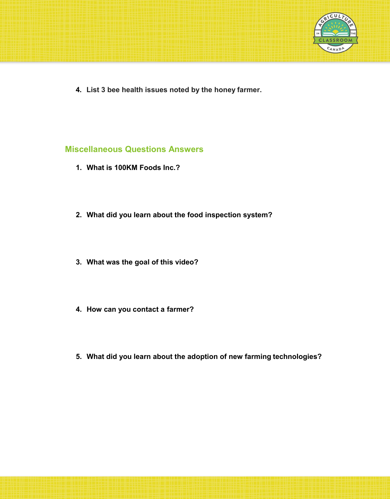

**4. List 3 bee health issues noted by the honey farmer.**

#### **Miscellaneous Questions Answers**

- **1. What is 100KM Foods Inc.?**
- **2. What did you learn about the food inspection system?**
- **3. What was the goal of this video?**
- **4. How can you contact a farmer?**
- **5. What did you learn about the adoption of new farming technologies?**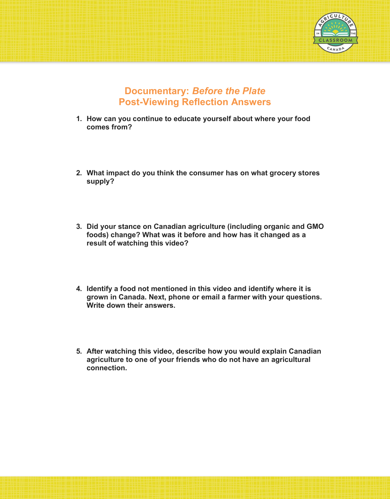

# **Documentary:** *Before the Plate* **Post-Viewing Reflection Answers**

- **1. How can you continue to educate yourself about where your food comes from?**
- **2. What impact do you think the consumer has on what grocery stores supply?**
- **3. Did your stance on Canadian agriculture (including organic and GMO foods) change? What was it before and how has it changed as a result of watching this video?**
- **4. Identify a food not mentioned in this video and identify where it is grown in Canada. Next, phone or email a farmer with your questions. Write down their answers.**
- **5. After watching this video, describe how you would explain Canadian agriculture to one of your friends who do not have an agricultural connection.**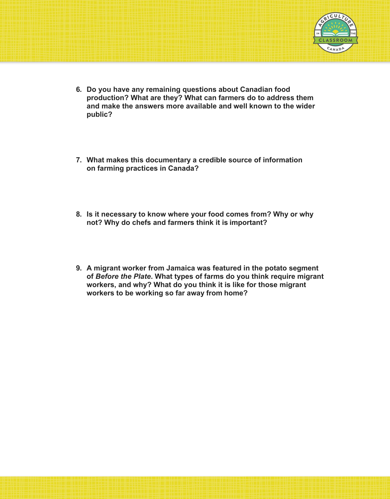

- **6. Do you have any remaining questions about Canadian food production? What are they? What can farmers do to address them and make the answers more available and well known to the wider public?**
- **7. What makes this documentary a credible source of information on farming practices in Canada?**
- **8. Is it necessary to know where your food comes from? Why or why not? Why do chefs and farmers think it is important?**
- **9. A migrant worker from Jamaica was featured in the potato segment of** *Before the Plate***. What types of farms do you think require migrant workers, and why? What do you think it is like for those migrant workers to be working so far away from home?**